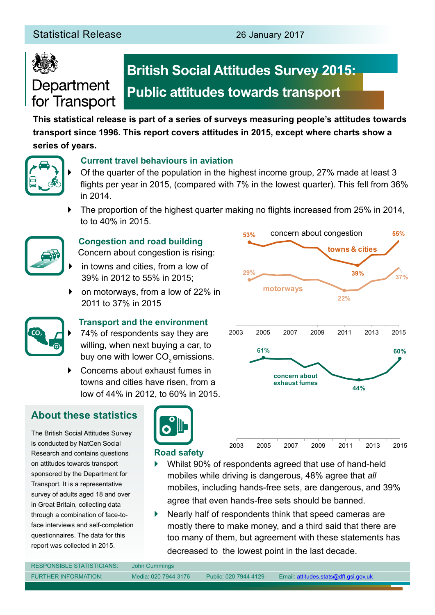

## Department for Transport

## **British Social Attitudes Survey 2015: Public attitudes towards transport**

**This statistical release is part of a series of surveys measuring people's attitudes towards transport since 1996. This report covers attitudes in 2015, except where charts show a series of years.**



#### **Current travel behaviours in aviation**

` Of the quarter of the population in the highest income group, 27% made at least 3 flights per year in 2015, (compared with 7% in the lowest quarter). This fell from 36% in 2014.

**53%**

` The proportion of the highest quarter making no flights increased from 25% in 2014, to to 40% in 2015.



#### **Congestion and road building**

Concern about congestion is rising:

- in towns and cities, from a low of 39% in 2012 to 55% in 2015;
- ` on motorways, from a low of 22% in 2011 to 37% in 2015



#### **Transport and the environment**

74% of respondents say they are willing, when next buying a car, to buy one with lower CO<sub>2</sub> emissions.

` Concerns about exhaust fumes in towns and cities have risen, from a low of 44% in 2012, to 60% in 2015.

### **About these statistics**

The British Social Attitudes Survey is conducted by NatCen Social Research and contains questions on attitudes towards transport sponsored by the Department for Transport. It is a representative survey of adults aged 18 and over in Great Britain, collecting data through a combination of face-toface interviews and self-completion questionnaires. The data for this report was collected in 2015.

Nearly half of respondents think that speed cameras are mostly there to make money, and a third said that there are too many of them, but agreement with these statements has decreased to the lowest point in the last decade.





concern about congestion

**55%**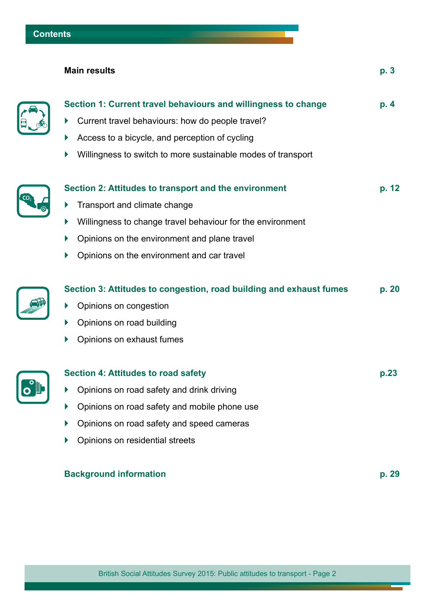E

#### **Main results p. 3**

| Section 1: Current travel behaviours and willingness to change<br>Current travel behaviours: how do people travel?<br>Þ<br>Access to a bicycle, and perception of cycling<br>Willingness to switch to more sustainable modes of transport                   | D. 4  |
|-------------------------------------------------------------------------------------------------------------------------------------------------------------------------------------------------------------------------------------------------------------|-------|
| Section 2: Attitudes to transport and the environment<br>Transport and climate change<br>▶<br>Willingness to change travel behaviour for the environment<br>Þ<br>Opinions on the environment and plane travel<br>Opinions on the environment and car travel | p. 12 |
| Section 3: Attitudes to congestion, road building and exhaust fumes<br>Opinions on congestion<br>Þ<br>Opinions on road building<br>Opinions on exhaust fumes                                                                                                | p. 20 |
| <b>Section 4: Attitudes to road safety</b><br>Opinions on road safety and drink driving<br>Þ<br>Opinions on road safety and mobile phone use<br>Opinions on road safety and speed cameras<br>Opinions on residential streets                                | p.23  |
|                                                                                                                                                                                                                                                             |       |

#### **Background information p. 29**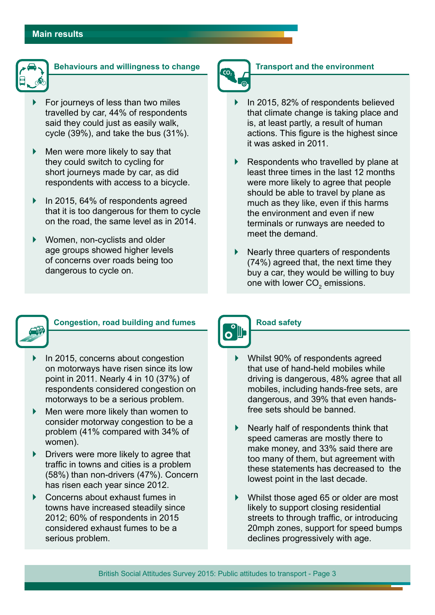

#### **Behaviours and willingness to change**

- ` For journeys of less than two miles travelled by car, 44% of respondents said they could just as easily walk, cycle (39%), and take the bus (31%).
- $\blacktriangleright$  Men were more likely to say that they could switch to cycling for short journeys made by car, as did respondents with access to a bicycle.
- lacktriangle 1 In 2015, 64% of respondents agreed that it is too dangerous for them to cycle on the road, the same level as in 2014.
- ▶ Women, non-cyclists and older age groups showed higher levels of concerns over roads being too dangerous to cycle on.

# **Transport and the environment**

### In 2015, 82% of respondents believed that climate change is taking place and

- is, at least partly, a result of human actions. This figure is the highest since it was asked in 2011.
- $\triangleright$  Respondents who travelled by plane at least three times in the last 12 months were more likely to agree that people should be able to travel by plane as much as they like, even if this harms the environment and even if new terminals or runways are needed to meet the demand.
- $\blacktriangleright$  Nearly three quarters of respondents (74%) agreed that, the next time they buy a car, they would be willing to buy one with lower CO<sub>2</sub> emissions.



#### **Congestion, road building and fumes**

- ` In 2015, concerns about congestion on motorways have risen since its low point in 2011. Nearly 4 in 10 (37%) of respondents considered congestion on motorways to be a serious problem.
- $\blacktriangleright$  Men were more likely than women to consider motorway congestion to be a problem (41% compared with 34% of women).
- $\triangleright$  Drivers were more likely to agree that traffic in towns and cities is a problem (58%) than non-drivers (47%). Concern has risen each year since 2012.
- $\triangleright$  Concerns about exhaust fumes in towns have increased steadily since 2012; 60% of respondents in 2015 considered exhaust fumes to be a serious problem.

## $\mathbf{C}^{\text{out}}$

#### **Road safety**

- ▶ Whilst 90% of respondents agreed that use of hand-held mobiles while driving is dangerous, 48% agree that all mobiles, including hands-free sets, are dangerous, and 39% that even handsfree sets should be banned.
- $\blacktriangleright$  Nearly half of respondents think that speed cameras are mostly there to make money, and 33% said there are too many of them, but agreement with these statements has decreased to the lowest point in the last decade.
- $\blacktriangleright$  Whilst those aged 65 or older are most likely to support closing residential streets to through traffic, or introducing 20mph zones, support for speed bumps declines progressively with age.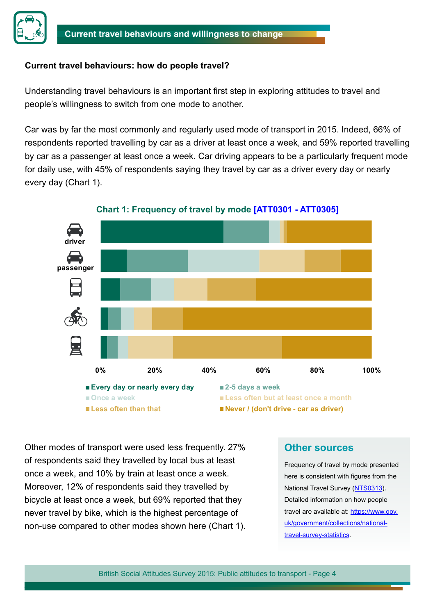

#### **Current travel behaviours: how do people travel?**

Understanding travel behaviours is an important first step in exploring attitudes to travel and people's willingness to switch from one mode to another.

Car was by far the most commonly and regularly used mode of transport in 2015. Indeed, 66% of respondents reported travelling by car as a driver at least once a week, and 59% reported travelling by car as a passenger at least once a week. Car driving appears to be a particularly frequent mode for daily use, with 45% of respondents saying they travel by car as a driver every day or nearly every day (Chart 1).



**Chart 1: Frequency of travel by mode [\[ATT0301 - ATT0305\]](https://www.gov.uk/government/statistical-data-sets/att03-attitudes-and-behaviour-towards-roads-and-road-travel)**

Other modes of transport were used less frequently. 27% of respondents said they travelled by local bus at least once a week, and 10% by train at least once a week. Moreover, 12% of respondents said they travelled by bicycle at least once a week, but 69% reported that they never travel by bike, which is the highest percentage of non-use compared to other modes shown here (Chart 1).

#### **Other sources**

Frequency of travel by mode presented here is consistent with figures from the National Travel Survey [\(NTS0313](https://www.gov.uk/government/uploads/system/uploads/attachment_data/file/456306/nts0313.xls)). Detailed information on how people travel are available at: [https://www.gov.](https://www.gov.uk/government/collections/national-travel-survey-statistics) [uk/government/collections/national](https://www.gov.uk/government/collections/national-travel-survey-statistics)[travel-survey-statistics](https://www.gov.uk/government/collections/national-travel-survey-statistics).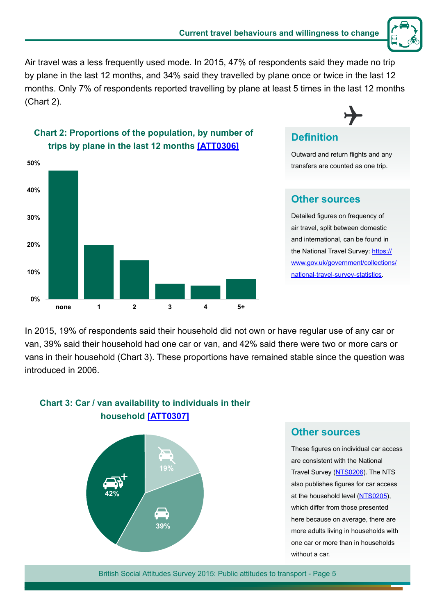

Air travel was a less frequently used mode. In 2015, 47% of respondents said they made no trip by plane in the last 12 months, and 34% said they travelled by plane once or twice in the last 12 months. Only 7% of respondents reported travelling by plane at least 5 times in the last 12 months (Chart 2).



#### **Chart 2: Proportions of the population, by number of trips by plane in the last 12 months [[ATT0306](https://www.gov.uk/government/statistical-data-sets/att03-attitudes-and-behaviour-towards-roads-and-road-travel)]**

## **Definition**

Outward and return flights and any transfers are counted as one trip.

#### **Other sources**

Detailed figures on frequency of air travel, split between domestic and international, can be found in the National Travel Survey: [https://](https://www.gov.uk/government/collections/national-travel-survey-statistics) [www.gov.uk/government/collections/](https://www.gov.uk/government/collections/national-travel-survey-statistics) [national-travel-survey-statistics](https://www.gov.uk/government/collections/national-travel-survey-statistics).

In 2015, 19% of respondents said their household did not own or have regular use of any car or van, 39% said their household had one car or van, and 42% said there were two or more cars or vans in their household (Chart 3). These proportions have remained stable since the question was introduced in 2006.



#### **Chart 3: Car / van availability to individuals in their household [[ATT0307\]](https://www.gov.uk/government/statistical-data-sets/att03-attitudes-and-behaviour-towards-roads-and-road-travel)**

#### **Other sources**

These figures on individual car access are consistent with the National Travel Survey [\(NTS0206](https://www.gov.uk/government/uploads/system/uploads/attachment_data/file/456254/nts0206.xls)). The NTS also publishes figures for car access at the household level ([NTS0205\)](https://www.gov.uk/government/uploads/system/uploads/attachment_data/file/456253/nts0205.xls), which differ from those presented here because on average, there are more adults living in households with one car or more than in households without a car.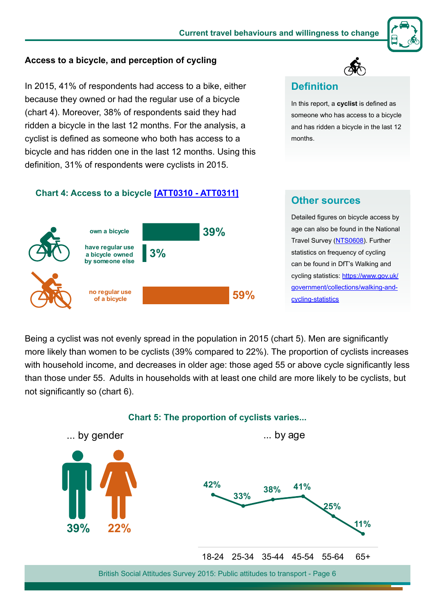

#### **Access to a bicycle, and perception of cycling**

In 2015, 41% of respondents had access to a bike, either because they owned or had the regular use of a bicycle (chart 4). Moreover, 38% of respondents said they had ridden a bicycle in the last 12 months. For the analysis, a cyclist is defined as someone who both has access to a bicycle and has ridden one in the last 12 months. Using this definition, 31% of respondents were cyclists in 2015.

#### **Chart 4: Access to a bicycle [\[ATT0310 - ATT0311\]](https://www.gov.uk/government/statistical-data-sets/att03-attitudes-and-behaviour-towards-roads-and-road-travel)**



## **Other sources**

**Definition**

months.

In this report, a **cyclist** is defined as someone who has access to a bicycle and has ridden a bicycle in the last 12

Detailed figures on bicycle access by age can also be found in the National Travel Survey ([NTS0608\)](https://www.gov.uk/government/uploads/system/uploads/attachment_data/file/456888/nts0608.xls). Further statistics on frequency of cycling can be found in DfT's Walking and cycling statistics: [https://www.gov.uk/](https://www.gov.uk/government/collections/walking-and-cycling-statistics) [government/collections/walking-and](https://www.gov.uk/government/collections/walking-and-cycling-statistics)[cycling-statistics](https://www.gov.uk/government/collections/walking-and-cycling-statistics)

Being a cyclist was not evenly spread in the population in 2015 (chart 5). Men are significantly more likely than women to be cyclists (39% compared to 22%). The proportion of cyclists increases with household income, and decreases in older age: those aged 55 or above cycle significantly less than those under 55. Adults in households with at least one child are more likely to be cyclists, but not significantly so (chart 6).

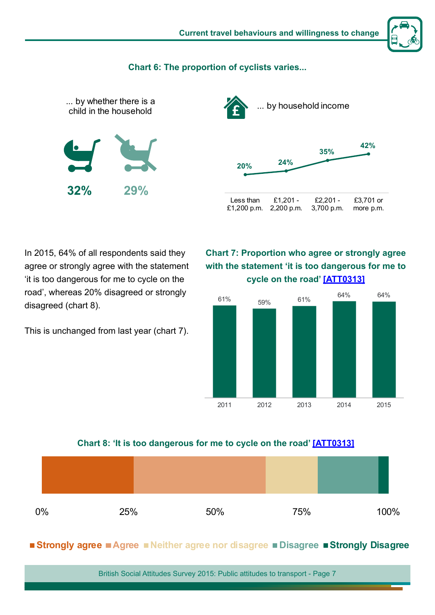

#### **Chart 6: The proportion of cyclists varies...**





In 2015, 64% of all respondents said they agree or strongly agree with the statement 'it is too dangerous for me to cycle on the road', whereas 20% disagreed or strongly disagreed (chart 8).

This is unchanged from last year (chart 7).

**Chart 7: Proportion who agree or strongly agree with the statement 'it is too dangerous for me to cycle on the road' [\[ATT0313](https://www.gov.uk/government/statistical-data-sets/att03-attitudes-and-behaviour-towards-roads-and-road-travel)]**



#### **Chart 8: 'It is too dangerous for me to cycle on the road' [[ATT031](https://www.gov.uk/government/statistical-data-sets/att03-attitudes-and-behaviour-towards-roads-and-road-travel)3]**



#### **Strongly agree Agree Neither agree nor disagree Disagree Strongly Disagree**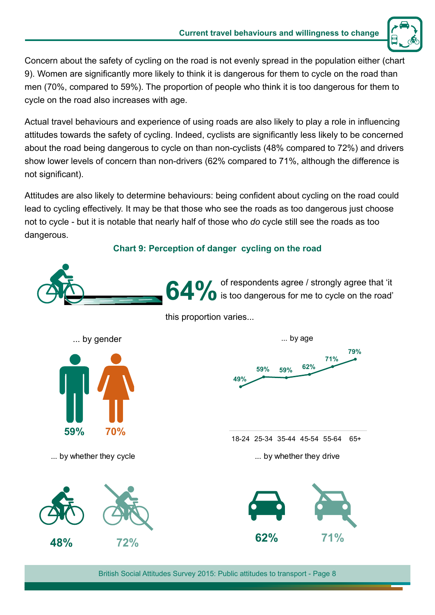

Concern about the safety of cycling on the road is not evenly spread in the population either (chart 9). Women are significantly more likely to think it is dangerous for them to cycle on the road than men (70%, compared to 59%). The proportion of people who think it is too dangerous for them to cycle on the road also increases with age.

Actual travel behaviours and experience of using roads are also likely to play a role in influencing attitudes towards the safety of cycling. Indeed, cyclists are significantly less likely to be concerned about the road being dangerous to cycle on than non-cyclists (48% compared to 72%) and drivers show lower levels of concern than non-drivers (62% compared to 71%, although the difference is not significant).

Attitudes are also likely to determine behaviours: being confident about cycling on the road could lead to cycling effectively. It may be that those who see the roads as too dangerous just choose not to cycle - but it is notable that nearly half of those who *do* cycle still see the roads as too dangerous.

#### **Chart 9: Perception of danger cycling on the road**

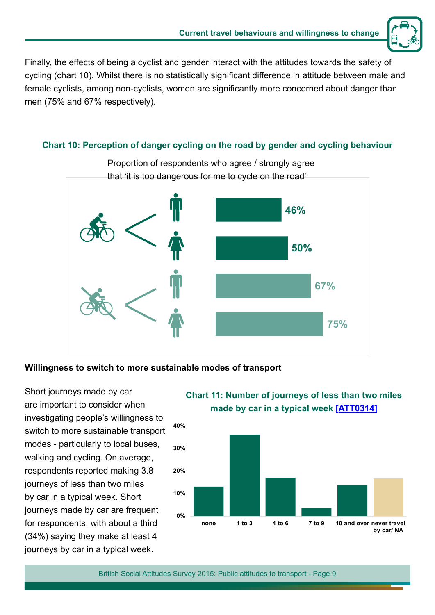

Finally, the effects of being a cyclist and gender interact with the attitudes towards the safety of cycling (chart 10). Whilst there is no statistically significant difference in attitude between male and female cyclists, among non-cyclists, women are significantly more concerned about danger than men (75% and 67% respectively).

#### **Chart 10: Perception of danger cycling on the road by gender and cycling behaviour**



#### **Willingness to switch to more sustainable modes of transport**

Short journeys made by car are important to consider when investigating people's willingness to switch to more sustainable transport modes - particularly to local buses, walking and cycling. On average, respondents reported making 3.8 journeys of less than two miles by car in a typical week. Short journeys made by car are frequent for respondents, with about a third (34%) saying they make at least 4 journeys by car in a typical week.

#### **Chart 11: Number of journeys of less than two miles made by car in a typical week [\[ATT0314\]](https://www.gov.uk/government/statistical-data-sets/att03-attitudes-and-behaviour-towards-roads-and-road-travel)**

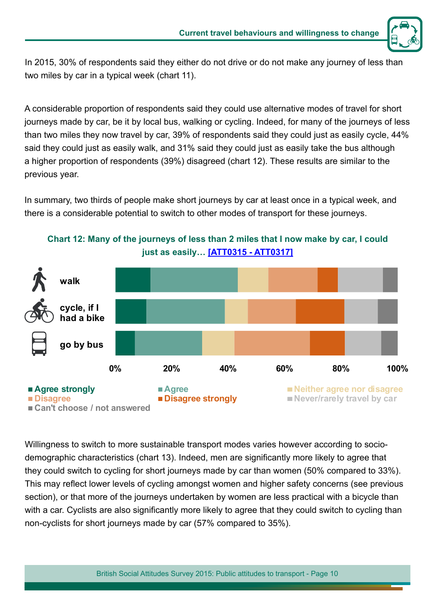

In 2015, 30% of respondents said they either do not drive or do not make any journey of less than two miles by car in a typical week (chart 11).

A considerable proportion of respondents said they could use alternative modes of travel for short journeys made by car, be it by local bus, walking or cycling. Indeed, for many of the journeys of less than two miles they now travel by car, 39% of respondents said they could just as easily cycle, 44% said they could just as easily walk, and 31% said they could just as easily take the bus although a higher proportion of respondents (39%) disagreed (chart 12). These results are similar to the previous year.

In summary, two thirds of people make short journeys by car at least once in a typical week, and there is a considerable potential to switch to other modes of transport for these journeys.



**Chart 12: Many of the journeys of less than 2 miles that I now make by car, I could just as easily… [[ATT0315 - ATT0317](https://www.gov.uk/government/statistical-data-sets/att03-attitudes-and-behaviour-towards-roads-and-road-travel)]**

Willingness to switch to more sustainable transport modes varies however according to sociodemographic characteristics (chart 13). Indeed, men are significantly more likely to agree that they could switch to cycling for short journeys made by car than women (50% compared to 33%). This may reflect lower levels of cycling amongst women and higher safety concerns (see previous section), or that more of the journeys undertaken by women are less practical with a bicycle than with a car. Cyclists are also significantly more likely to agree that they could switch to cycling than non-cyclists for short journeys made by car (57% compared to 35%).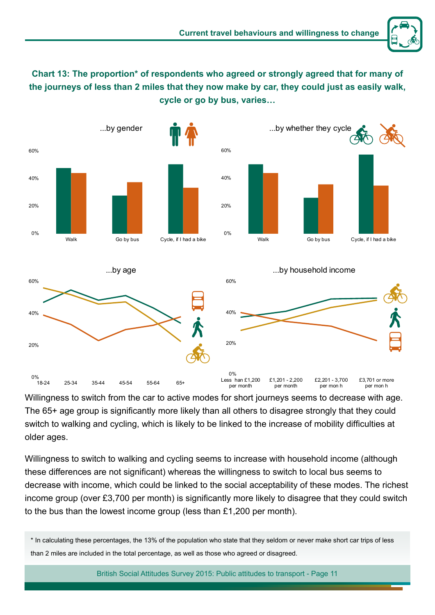

**Chart 13: The proportion\* of respondents who agreed or strongly agreed that for many of the journeys of less than 2 miles that they now make by car, they could just as easily walk, cycle or go by bus, varies…**



Willingness to switch from the car to active modes for short journeys seems to decrease with age. The 65+ age group is significantly more likely than all others to disagree strongly that they could switch to walking and cycling, which is likely to be linked to the increase of mobility difficulties at older ages.

Willingness to switch to walking and cycling seems to increase with household income (although these differences are not significant) whereas the willingness to switch to local bus seems to decrease with income, which could be linked to the social acceptability of these modes. The richest income group (over £3,700 per month) is significantly more likely to disagree that they could switch to the bus than the lowest income group (less than £1,200 per month).

<sup>\*</sup> In calculating these percentages, the 13% of the population who state that they seldom or never make short car trips of less than 2 miles are included in the total percentage, as well as those who agreed or disagreed.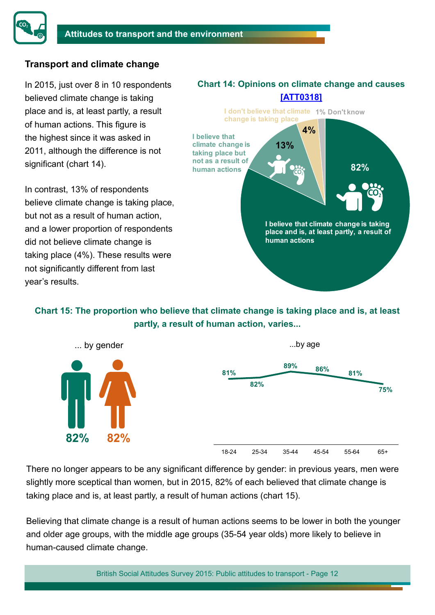

#### **Transport and climate change**

In 2015, just over 8 in 10 respondents believed climate change is taking place and is, at least partly, a result of human actions. This figure is the highest since it was asked in 2011, although the difference is not significant (chart 14).

In contrast, 13% of respondents believe climate change is taking place, but not as a result of human action, and a lower proportion of respondents did not believe climate change is taking place (4%). These results were not significantly different from last year's results.

#### **Chart 14: Opinions on climate change and causes [\[ATT0318\]](https://www.gov.uk/government/statistical-data-sets/att03-attitudes-and-behaviour-towards-roads-and-road-travel)**



**Chart 15: The proportion who believe that climate change is taking place and is, at least partly, a result of human action, varies...**



There no longer appears to be any significant difference by gender: in previous years, men were slightly more sceptical than women, but in 2015, 82% of each believed that climate change is taking place and is, at least partly, a result of human actions (chart 15).

Believing that climate change is a result of human actions seems to be lower in both the younger and older age groups, with the middle age groups (35-54 year olds) more likely to believe in human-caused climate change.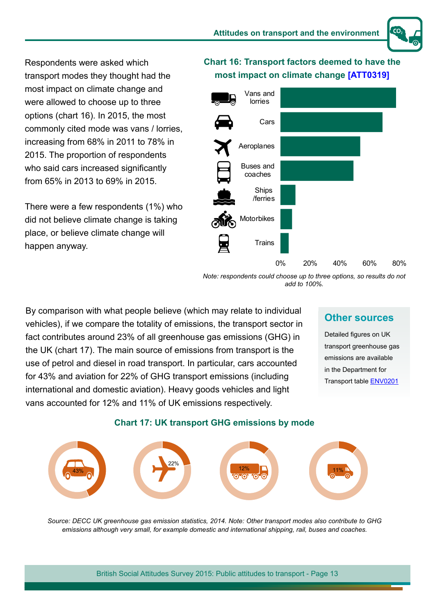Respondents were asked which transport modes they thought had the most impact on climate change and were allowed to choose up to three options (chart 16). In 2015, the most commonly cited mode was vans / lorries, increasing from 68% in 2011 to 78% in 2015. The proportion of respondents who said cars increased significantly from 65% in 2013 to 69% in 2015.

There were a few respondents (1%) who did not believe climate change is taking place, or believe climate change will happen anyway.

#### **Chart 16: Transport factors deemed to have the most impact on climate change [\[ATT0319](https://www.gov.uk/government/statistical-data-sets/att03-attitudes-and-behaviour-towards-roads-and-road-travel)]**



*Note: respondents could choose up to three options, so results do not add to 100%.* 

By comparison with what people believe (which may relate to individual vehicles), if we compare the totality of emissions, the transport sector in fact contributes around 23% of all greenhouse gas emissions (GHG) in the UK (chart 17). The main source of emissions from transport is the use of petrol and diesel in road transport. In particular, cars accounted for 43% and aviation for 22% of GHG transport emissions (including international and domestic aviation). Heavy goods vehicles and light vans accounted for 12% and 11% of UK emissions respectively.

#### **Other sources**

Detailed figures on UK transport greenhouse gas emissions are available in the Department for Transport table [ENV0201](https://www.gov.uk/government/statistical-data-sets/env02-greenhouse-gas-emissions)



#### **Chart 17: UK transport GHG emissions by mode**

*Source: DECC UK greenhouse gas emission statistics, 2014. Note: Other transport modes also contribute to GHG emissions although very small, for example domestic and international shipping, rail, buses and coaches.*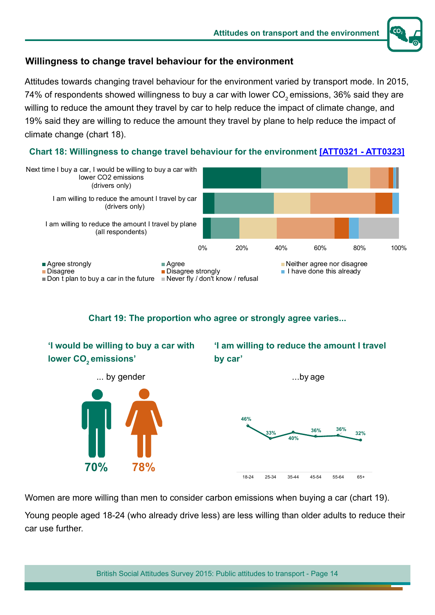

#### **Willingness to change travel behaviour for the environment**

Attitudes towards changing travel behaviour for the environment varied by transport mode. In 2015, 74% of respondents showed willingness to buy a car with lower CO<sub>2</sub> emissions, 36% said they are willing to reduce the amount they travel by car to help reduce the impact of climate change, and 19% said they are willing to reduce the amount they travel by plane to help reduce the impact of climate change (chart 18).





**Chart 19: The proportion who agree or strongly agree varies...** 



Women are more willing than men to consider carbon emissions when buying a car (chart 19).

Young people aged 18-24 (who already drive less) are less willing than older adults to reduce their car use further.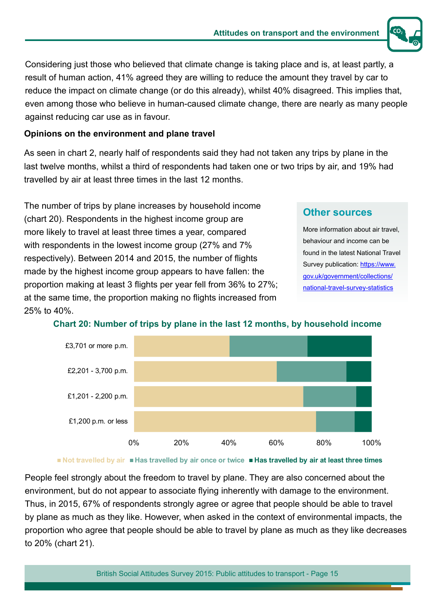

Considering just those who believed that climate change is taking place and is, at least partly, a result of human action, 41% agreed they are willing to reduce the amount they travel by car to reduce the impact on climate change (or do this already), whilst 40% disagreed. This implies that, even among those who believe in human-caused climate change, there are nearly as many people against reducing car use as in favour.

#### **Opinions on the environment and plane travel**

As seen in chart 2, nearly half of respondents said they had not taken any trips by plane in the last twelve months, whilst a third of respondents had taken one or two trips by air, and 19% had travelled by air at least three times in the last 12 months.

The number of trips by plane increases by household income (chart 20). Respondents in the highest income group are more likely to travel at least three times a year, compared with respondents in the lowest income group (27% and 7% respectively). Between 2014 and 2015, the number of flights made by the highest income group appears to have fallen: the proportion making at least 3 flights per year fell from 36% to 27%; at the same time, the proportion making no flights increased from 25% to 40%.

#### **Other sources**

More information about air travel, behaviour and income can be found in the latest National Travel Survey publication: [https://www.](https://www.gov.uk/government/collections/national-travel-survey-statistics) [gov.uk/government/collections/](https://www.gov.uk/government/collections/national-travel-survey-statistics) [national-travel-survey-statistics](https://www.gov.uk/government/collections/national-travel-survey-statistics)



#### **Chart 20: Number of trips by plane in the last 12 months, by household income**

■ Not travelled by air ■ Has travelled by air once or twice ■ Has travelled by air at least three times

People feel strongly about the freedom to travel by plane. They are also concerned about the environment, but do not appear to associate flying inherently with damage to the environment. Thus, in 2015, 67% of respondents strongly agree or agree that people should be able to travel by plane as much as they like. However, when asked in the context of environmental impacts, the proportion who agree that people should be able to travel by plane as much as they like decreases to 20% (chart 21).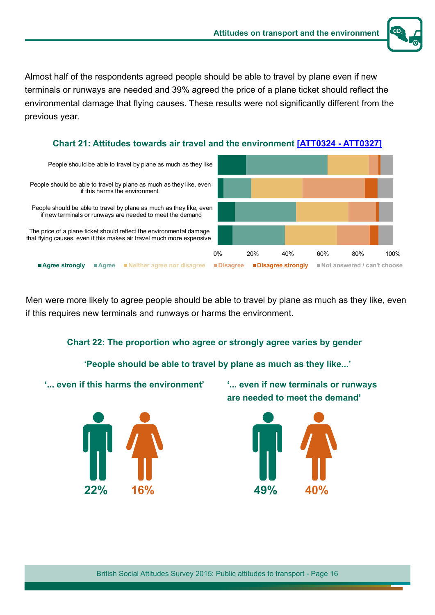

Almost half of the respondents agreed people should be able to travel by plane even if new terminals or runways are needed and 39% agreed the price of a plane ticket should reflect the environmental damage that flying causes. These results were not significantly different from the previous year.





Men were more likely to agree people should be able to travel by plane as much as they like, even if this requires new terminals and runways or harms the environment.

#### **Chart 22: The proportion who agree or strongly agree varies by gender**

**'People should be able to travel by plane as much as they like...'**

**'... even if this harms the environment'**

**22% 16%**

**'... even if new terminals or runways are needed to meet the demand'**

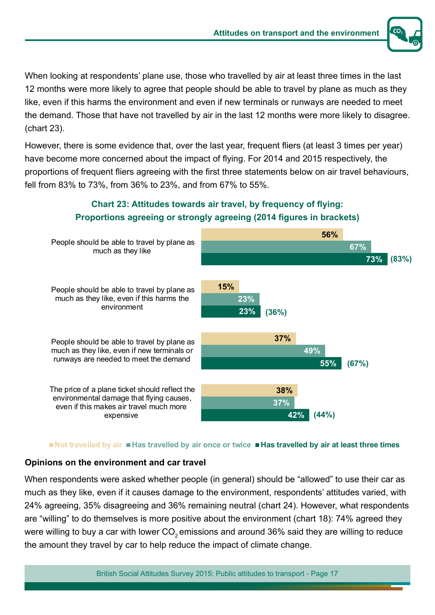

When looking at respondents' plane use, those who travelled by air at least three times in the last 12 months were more likely to agree that people should be able to travel by plane as much as they like, even if this harms the environment and even if new terminals or runways are needed to meet the demand. Those that have not travelled by air in the last 12 months were more likely to disagree. (chart 23).

However, there is some evidence that, over the last year, frequent fliers (at least 3 times per year) have become more concerned about the impact of flying. For 2014 and 2015 respectively, the proportions of frequent fliers agreeing with the first three statements below on air travel behaviours, fell from 83% to 73%, from 36% to 23%, and from 67% to 55%.



#### **Chart 23: Attitudes towards air travel, by frequency of flying: Proportions agreeing or strongly agreeing (2014 figures in brackets)**

#### ■ Not travelled by air ■ Has travelled by air once or twice ■ Has travelled by air at least three times

#### **Opinions on the environment and car travel**

When respondents were asked whether people (in general) should be "allowed" to use their car as much as they like, even if it causes damage to the environment, respondents' attitudes varied, with 24% agreeing, 35% disagreeing and 36% remaining neutral (chart 24). However, what respondents are "willing" to do themselves is more positive about the environment (chart 18): 74% agreed they were willing to buy a car with lower CO<sub>2</sub> emissions and around 36% said they are willing to reduce the amount they travel by car to help reduce the impact of climate change.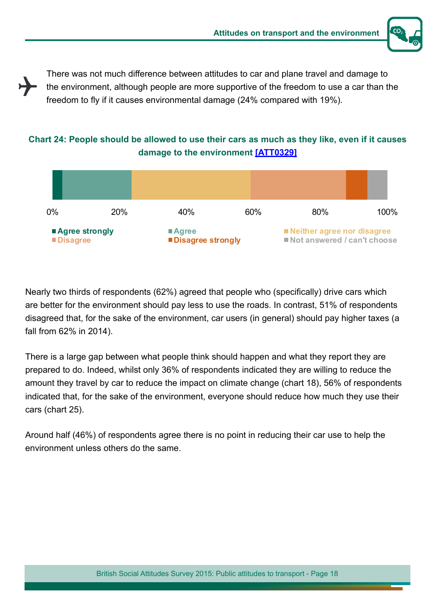

There was not much difference between attitudes to car and plane travel and damage to the environment, although people are more supportive of the freedom to use a car than the freedom to fly if it causes environmental damage (24% compared with 19%).

#### **Chart 24: People should be allowed to use their cars as much as they like, even if it causes damage to the environment [\[ATT03](https://www.gov.uk/government/statistical-data-sets/att03-attitudes-and-behaviour-towards-roads-and-road-travel)29]**



Nearly two thirds of respondents (62%) agreed that people who (specifically) drive cars which are better for the environment should pay less to use the roads. In contrast, 51% of respondents disagreed that, for the sake of the environment, car users (in general) should pay higher taxes (a fall from 62% in 2014).

There is a large gap between what people think should happen and what they report they are prepared to do. Indeed, whilst only 36% of respondents indicated they are willing to reduce the amount they travel by car to reduce the impact on climate change (chart 18), 56% of respondents indicated that, for the sake of the environment, everyone should reduce how much they use their cars (chart 25).

Around half (46%) of respondents agree there is no point in reducing their car use to help the environment unless others do the same.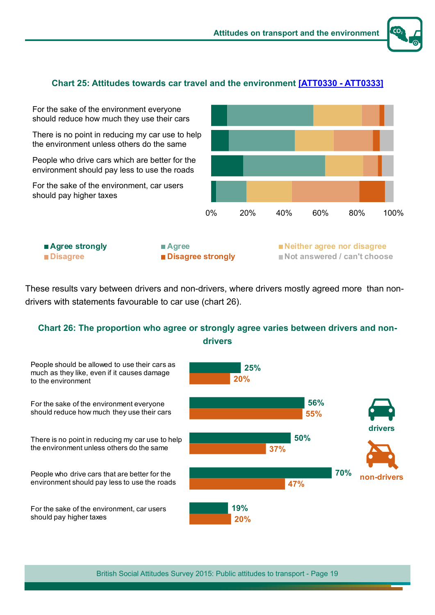#### **Chart 25: Attitudes towards car travel and the environment [\[ATT0330 - ATT0333\]](https://www.gov.uk/government/statistical-data-sets/att03-attitudes-and-behaviour-towards-roads-and-road-travel)**

0% 20% 40% 60% 80% 100% For the sake of the environment everyone should reduce how much they use their cars There is no point in reducing my car use to help the environment unless others do the same People who drive cars which are better for the environment should pay less to use the roads For the sake of the environment, car users should pay higher taxes **Agree strongly Agree Neither agree nor disagree** ■ **Disagree Disagree strongly** ■ Not answered / can't choose

These results vary between drivers and non-drivers, where drivers mostly agreed more than nondrivers with statements favourable to car use (chart 26).

#### **Chart 26: The proportion who agree or strongly agree varies between drivers and nondrivers**

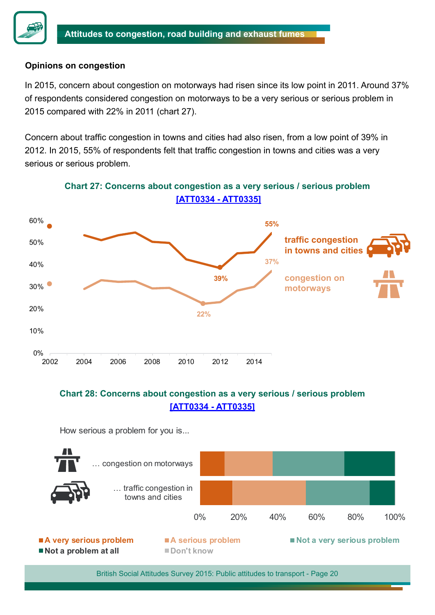

#### **Opinions on congestion**

In 2015, concern about congestion on motorways had risen since its low point in 2011. Around 37% of respondents considered congestion on motorways to be a very serious or serious problem in 2015 compared with 22% in 2011 (chart 27).

Concern about traffic congestion in towns and cities had also risen, from a low point of 39% in 2012. In 2015, 55% of respondents felt that traffic congestion in towns and cities was a very serious or serious problem.



#### **Chart 27: Concerns about congestion as a very serious / serious problem [\[ATT0334 - ATT0335\]](https://www.gov.uk/government/statistical-data-sets/att03-attitudes-and-behaviour-towards-roads-and-road-travel)**

#### **Chart 28: Concerns about congestion as a very serious / serious problem [\[ATT0334 - ATT0335\]](https://www.gov.uk/government/statistical-data-sets/att03-attitudes-and-behaviour-towards-roads-and-road-travel)**

How serious a problem for you is...

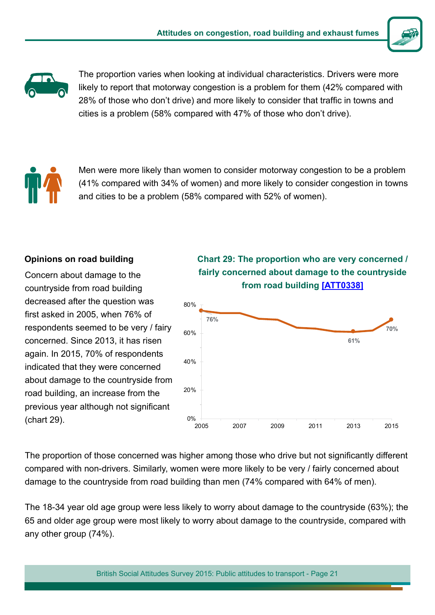



The proportion varies when looking at individual characteristics. Drivers were more likely to report that motorway congestion is a problem for them (42% compared with 28% of those who don't drive) and more likely to consider that traffic in towns and cities is a problem (58% compared with 47% of those who don't drive). **2**



Men were more likely than women to consider motorway congestion to be a problem (41% compared with 34% of women) and more likely to consider congestion in towns and cities to be a problem (58% compared with 52% of women).

#### **Opinions on road building**

Concern about damage to the countryside from road building decreased after the question was first asked in 2005, when 76% of respondents seemed to be very / fairy concerned. Since 2013, it has risen again. In 2015, 70% of respondents indicated that they were concerned about damage to the countryside from road building, an increase from the previous year although not significant (chart 29).





The proportion of those concerned was higher among those who drive but not significantly different compared with non-drivers. Similarly, women were more likely to be very / fairly concerned about damage to the countryside from road building than men (74% compared with 64% of men).

The 18-34 year old age group were less likely to worry about damage to the countryside (63%); the 65 and older age group were most likely to worry about damage to the countryside, compared with any other group (74%).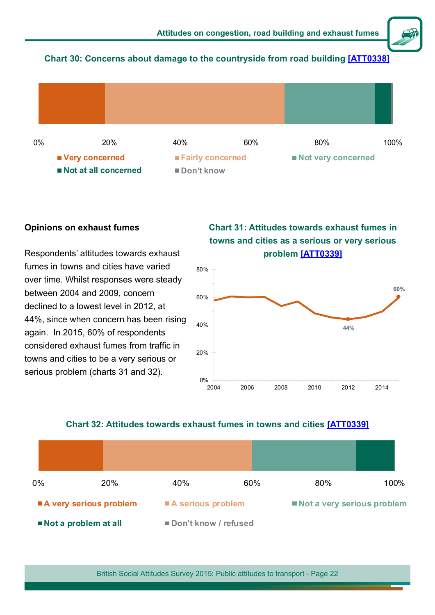

#### **Chart 30: Concerns about damage to the countryside from road building [\[ATT0338\]](https://www.gov.uk/government/statistical-data-sets/att03-attitudes-and-behaviour-towards-roads-and-road-travel)**



#### **Opinions on exhaust fumes**

Respondents' attitudes towards exhaust fumes in towns and cities have varied over time. Whilst responses were steady between 2004 and 2009, concern declined to a lowest level in 2012, at 44%, since when concern has been rising again. In 2015, 60% of respondents considered exhaust fumes from traffic in towns and cities to be a very serious or serious problem (charts 31 and 32).

#### **Chart 31: Attitudes towards exhaust fumes in towns and cities as a serious or very serious problem [\[ATT0339\]](https://www.gov.uk/government/statistical-data-sets/att03-attitudes-and-behaviour-towards-roads-and-road-travel)**



#### **Chart 32: Attitudes towards exhaust fumes in towns and cities [\[ATT0339\]](https://www.gov.uk/government/statistical-data-sets/att03-attitudes-and-behaviour-towards-roads-and-road-travel)**

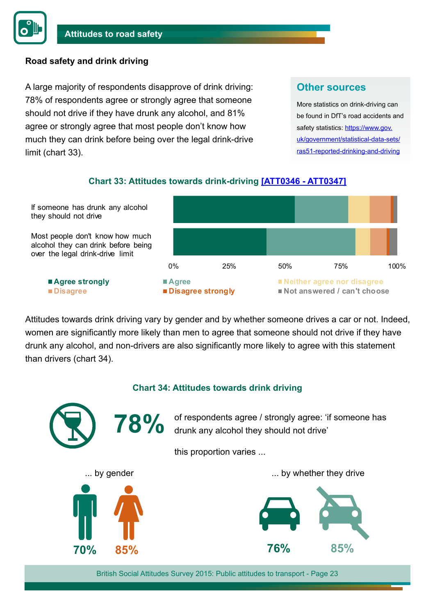#### **Road safety and drink driving**

A large majority of respondents disapprove of drink driving: 78% of respondents agree or strongly agree that someone should not drive if they have drunk any alcohol, and 81% agree or strongly agree that most people don't know how much they can drink before being over the legal drink-drive limit (chart 33).

#### **Other sources**

More statistics on drink-driving can be found in DfT's road accidents and safety statistics: [https://www.gov.](https://www.gov.uk/government/statistical-data-sets/ras51-reported-drinking-and-driving) [uk/government/statistical-data-sets/](https://www.gov.uk/government/statistical-data-sets/ras51-reported-drinking-and-driving) [ras51-reported-drinking-and-driving](https://www.gov.uk/government/statistical-data-sets/ras51-reported-drinking-and-driving)

#### **Chart 33: Attitudes towards drink-driving [\[ATT0346 - ATT0347\]](https://www.gov.uk/government/statistical-data-sets/att03-attitudes-and-behaviour-towards-roads-and-road-travel)**



Attitudes towards drink driving vary by gender and by whether someone drives a car or not. Indeed, women are significantly more likely than men to agree that someone should not drive if they have drunk any alcohol, and non-drivers are also significantly more likely to agree with this statement than drivers (chart 34).

#### **Chart 34: Attitudes towards drink driving**

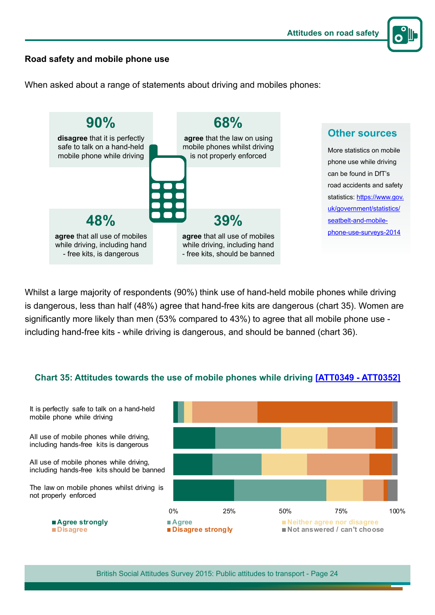

#### **Road safety and mobile phone use**

When asked about a range of statements about driving and mobiles phones:



Whilst a large majority of respondents (90%) think use of hand-held mobile phones while driving is dangerous, less than half (48%) agree that hand-free kits are dangerous (chart 35). Women are significantly more likely than men (53% compared to 43%) to agree that all mobile phone use including hand-free kits - while driving is dangerous, and should be banned (chart 36).

#### **Chart 35: Attitudes towards the use of mobile phones while driving [\[ATT0349 - ATT0352\]](https://www.gov.uk/government/statistical-data-sets/att03-attitudes-and-behaviour-towards-roads-and-road-travel)**

0% 25% 50% 75% 100% ■ **Agree strongly ■ Agree arrors in a strongly ■ Neither agree nor disagree<br>■ Disagree ■ Disagree strongly ■ Not answered / can't choos Not answered / can't choose** It is perfectly safe to talk on a hand-held mobile phone while driving All use of mobile phones while driving, including hands-free kits is dangerous All use of mobile phones while driving, including hands-free kits should be banned The law on mobile phones whilst driving is not properly enforced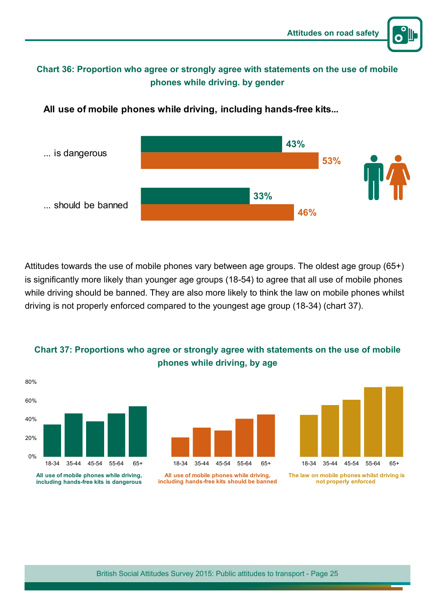

#### **Chart 36: Proportion who agree or strongly agree with statements on the use of mobile phones while driving. by gender**



**All use of mobile phones while driving, including hands-free kits...**

Attitudes towards the use of mobile phones vary between age groups. The oldest age group (65+) is significantly more likely than younger age groups (18-54) to agree that all use of mobile phones while driving should be banned. They are also more likely to think the law on mobile phones whilst driving is not properly enforced compared to the youngest age group (18-34) (chart 37).



#### **Chart 37: Proportions who agree or strongly agree with statements on the use of mobile phones while driving, by age**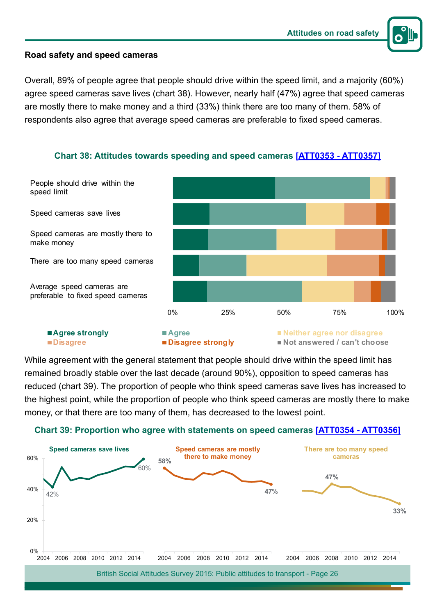

#### **Road safety and speed cameras**

Overall, 89% of people agree that people should drive within the speed limit, and a majority (60%) agree speed cameras save lives (chart 38). However, nearly half (47%) agree that speed cameras are mostly there to make money and a third (33%) think there are too many of them. 58% of respondents also agree that average speed cameras are preferable to fixed speed cameras.



**Chart 38: Attitudes towards speeding and speed cameras [[ATT0353 - ATT0357](https://www.gov.uk/government/statistical-data-sets/att03-attitudes-and-behaviour-towards-roads-and-road-travel)]**

While agreement with the general statement that people should drive within the speed limit has remained broadly stable over the last decade (around 90%), opposition to speed cameras has reduced (chart 39). The proportion of people who think speed cameras save lives has increased to the highest point, while the proportion of people who think speed cameras are mostly there to make money, or that there are too many of them, has decreased to the lowest point.



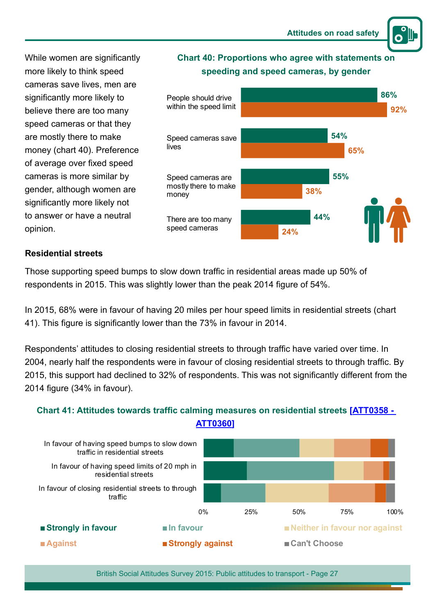While women are significantly more likely to think speed cameras save lives, men are significantly more likely to believe there are too many speed cameras or that they are mostly there to make money (chart 40). Preference of average over fixed speed cameras is more similar by gender, although women are significantly more likely not to answer or have a neutral opinion.



**Chart 40: Proportions who agree with statements on** 

#### **Residential streets**

Those supporting speed bumps to slow down traffic in residential areas made up 50% of respondents in 2015. This was slightly lower than the peak 2014 figure of 54%.

In 2015, 68% were in favour of having 20 miles per hour speed limits in residential streets (chart 41). This figure is significantly lower than the 73% in favour in 2014.

Respondents' attitudes to closing residential streets to through traffic have varied over time. In 2004, nearly half the respondents were in favour of closing residential streets to through traffic. By 2015, this support had declined to 32% of respondents. This was not significantly different from the 2014 figure (34% in favour).

**Chart 41: Attitudes towards traffic calming measures on residential streets [\[ATT0358 -](https://www.gov.uk/government/statistical-data-sets/att03-attitudes-and-behaviour-towards-roads-and-road-travel)** 

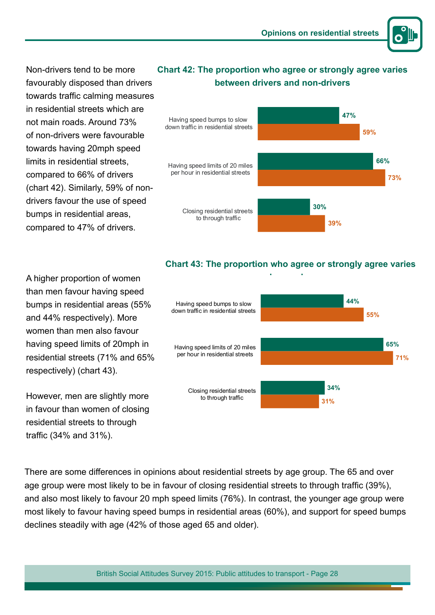

Non-drivers tend to be more favourably disposed than drivers towards traffic calming measures in residential streets which are not main roads. Around 73% of non-drivers were favourable towards having 20mph speed limits in residential streets, compared to 66% of drivers (chart 42). Similarly, 59% of nondrivers favour the use of speed bumps in residential areas, compared to 47% of drivers.

#### **Chart 42: The proportion who agree or strongly agree varies between drivers and non-drivers**



A higher proportion of women than men favour having speed bumps in residential areas (55% and 44% respectively). More women than men also favour having speed limits of 20mph in residential streets (71% and 65% respectively) (chart 43).

However, men are slightly more in favour than women of closing residential streets to through traffic (34% and 31%).

#### **Chart 43: The proportion who agree or strongly agree varies**



There are some differences in opinions about residential streets by age group. The 65 and over age group were most likely to be in favour of closing residential streets to through traffic (39%), and also most likely to favour 20 mph speed limits (76%). In contrast, the younger age group were most likely to favour having speed bumps in residential areas (60%), and support for speed bumps declines steadily with age (42% of those aged 65 and older).